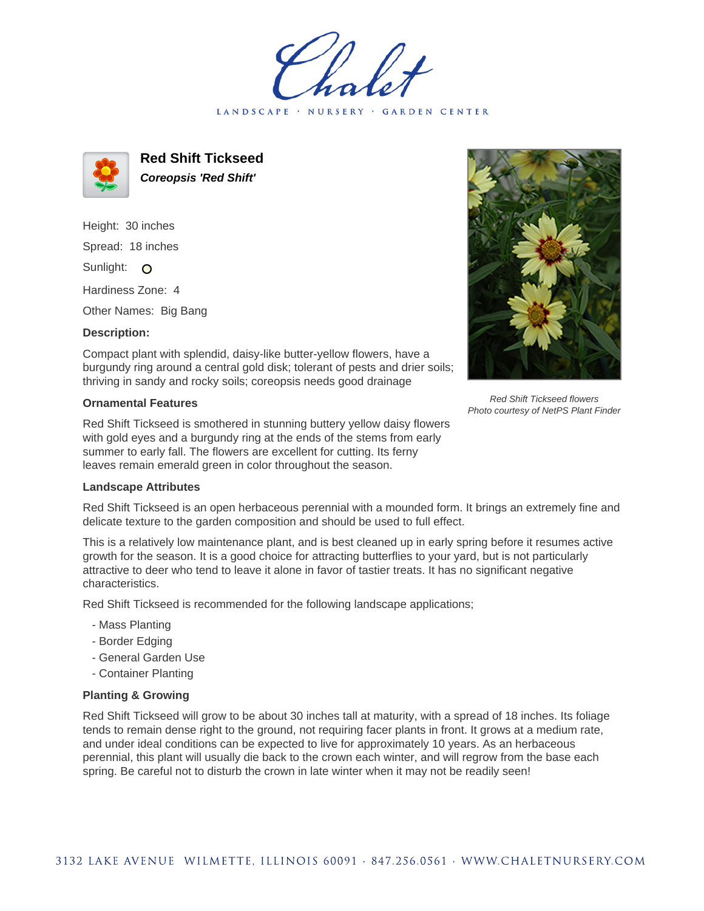LANDSCAPE · NURSERY · GARDEN CENTER



**Red Shift Tickseed Coreopsis 'Red Shift'**

Height: 30 inches Spread: 18 inches Sunlight: O

Hardiness Zone: 4

Other Names: Big Bang

## **Description:**

Compact plant with splendid, daisy-like butter-yellow flowers, have a burgundy ring around a central gold disk; tolerant of pests and drier soils; thriving in sandy and rocky soils; coreopsis needs good drainage

## **Ornamental Features**

Red Shift Tickseed is smothered in stunning buttery yellow daisy flowers with gold eyes and a burgundy ring at the ends of the stems from early summer to early fall. The flowers are excellent for cutting. Its ferny leaves remain emerald green in color throughout the season.



Red Shift Tickseed is an open herbaceous perennial with a mounded form. It brings an extremely fine and delicate texture to the garden composition and should be used to full effect.

This is a relatively low maintenance plant, and is best cleaned up in early spring before it resumes active growth for the season. It is a good choice for attracting butterflies to your yard, but is not particularly attractive to deer who tend to leave it alone in favor of tastier treats. It has no significant negative characteristics.

Red Shift Tickseed is recommended for the following landscape applications;

- Mass Planting
- Border Edging
- General Garden Use
- Container Planting

## **Planting & Growing**

Red Shift Tickseed will grow to be about 30 inches tall at maturity, with a spread of 18 inches. Its foliage tends to remain dense right to the ground, not requiring facer plants in front. It grows at a medium rate, and under ideal conditions can be expected to live for approximately 10 years. As an herbaceous perennial, this plant will usually die back to the crown each winter, and will regrow from the base each spring. Be careful not to disturb the crown in late winter when it may not be readily seen!



Red Shift Tickseed flowers Photo courtesy of NetPS Plant Finder